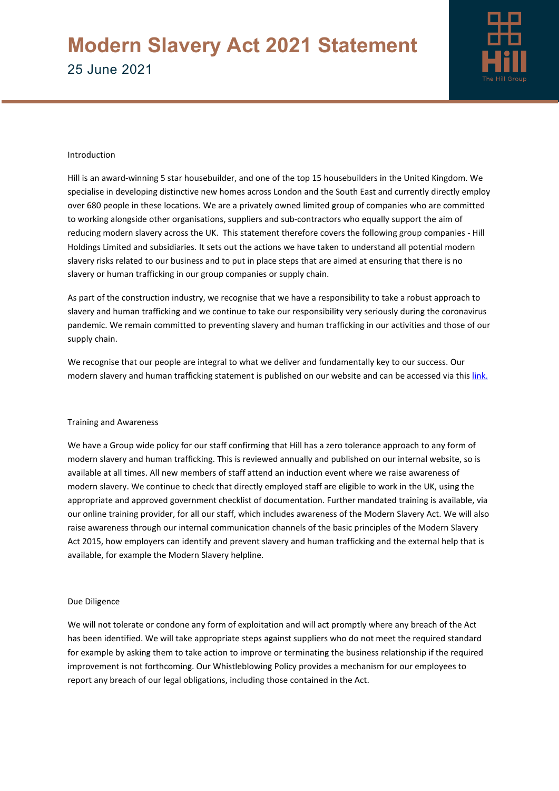

### Introduction

Hill is an award-winning 5 star housebuilder, and one of the top 15 housebuilders in the United Kingdom. We specialise in developing distinctive new homes across London and the South East and currently directly employ over 680 people in these locations. We are a privately owned limited group of companies who are committed to working alongside other organisations, suppliers and sub-contractors who equally support the aim of reducing modern slavery across the UK. This statement therefore covers the following group companies - Hill Holdings Limited and subsidiaries. It sets out the actions we have taken to understand all potential modern slavery risks related to our business and to put in place steps that are aimed at ensuring that there is no slavery or human trafficking in our group companies or supply chain.

As part of the construction industry, we recognise that we have a responsibility to take a robust approach to slavery and human trafficking and we continue to take our responsibility very seriously during the coronavirus pandemic. We remain committed to preventing slavery and human trafficking in our activities and those of our supply chain.

We recognise that our people are integral to what we deliver and fundamentally key to our success. Our modern slavery and human trafficking statement is published on our website and can be accessed via this [link.](https://www.hill.co.uk/sites/default/files/2021-06/Modern_slavery_act_2021.pdf)

### Training and Awareness

We have a Group wide policy for our staff confirming that Hill has a zero tolerance approach to any form of modern slavery and human trafficking. This is reviewed annually and published on our internal website, so is available at all times. All new members of staff attend an induction event where we raise awareness of modern slavery. We continue to check that directly employed staff are eligible to work in the UK, using the appropriate and approved government checklist of documentation. Further mandated training is available, via our online training provider, for all our staff, which includes awareness of the Modern Slavery Act. We will also raise awareness through our internal communication channels of the basic principles of the Modern Slavery Act 2015, how employers can identify and prevent slavery and human trafficking and the external help that is available, for example the Modern Slavery helpline.

#### Due Diligence

We will not tolerate or condone any form of exploitation and will act promptly where any breach of the Act has been identified. We will take appropriate steps against suppliers who do not meet the required standard for example by asking them to take action to improve or terminating the business relationship if the required improvement is not forthcoming. Our Whistleblowing Policy provides a mechanism for our employees to report any breach of our legal obligations, including those contained in the Act.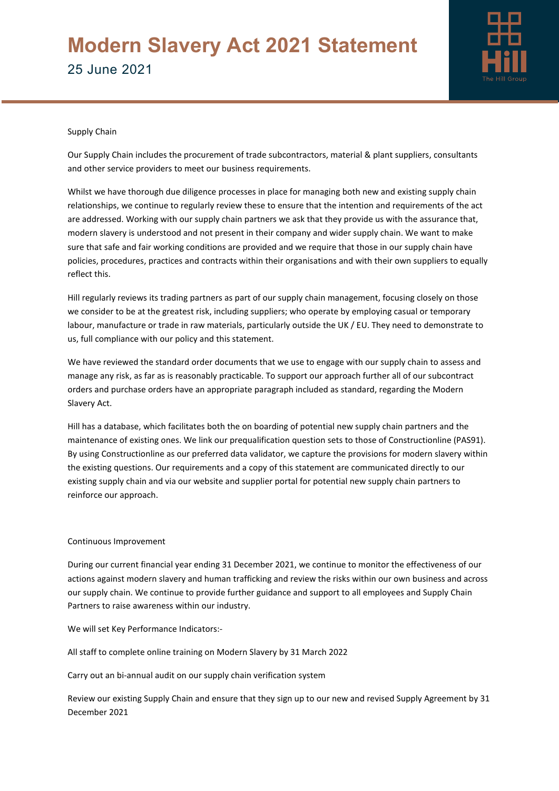# **Modern Slavery Act 2021 Statement** 25 June 2021



## Supply Chain

Our Supply Chain includes the procurement of trade subcontractors, material & plant suppliers, consultants and other service providers to meet our business requirements.

Whilst we have thorough due diligence processes in place for managing both new and existing supply chain relationships, we continue to regularly review these to ensure that the intention and requirements of the act are addressed. Working with our supply chain partners we ask that they provide us with the assurance that, modern slavery is understood and not present in their company and wider supply chain. We want to make sure that safe and fair working conditions are provided and we require that those in our supply chain have policies, procedures, practices and contracts within their organisations and with their own suppliers to equally reflect this.

Hill regularly reviews its trading partners as part of our supply chain management, focusing closely on those we consider to be at the greatest risk, including suppliers; who operate by employing casual or temporary labour, manufacture or trade in raw materials, particularly outside the UK / EU. They need to demonstrate to us, full compliance with our policy and this statement.

We have reviewed the standard order documents that we use to engage with our supply chain to assess and manage any risk, as far as is reasonably practicable. To support our approach further all of our subcontract orders and purchase orders have an appropriate paragraph included as standard, regarding the Modern Slavery Act.

Hill has a database, which facilitates both the on boarding of potential new supply chain partners and the maintenance of existing ones. We link our prequalification question sets to those of Constructionline (PAS91). By using Constructionline as our preferred data validator, we capture the provisions for modern slavery within the existing questions. Our requirements and a copy of this statement are communicated directly to our existing supply chain and via our website and supplier portal for potential new supply chain partners to reinforce our approach.

## Continuous Improvement

During our current financial year ending 31 December 2021, we continue to monitor the effectiveness of our actions against modern slavery and human trafficking and review the risks within our own business and across our supply chain. We continue to provide further guidance and support to all employees and Supply Chain Partners to raise awareness within our industry.

We will set Key Performance Indicators:-

All staff to complete online training on Modern Slavery by 31 March 2022

Carry out an bi-annual audit on our supply chain verification system

Review our existing Supply Chain and ensure that they sign up to our new and revised Supply Agreement by 31 December 2021